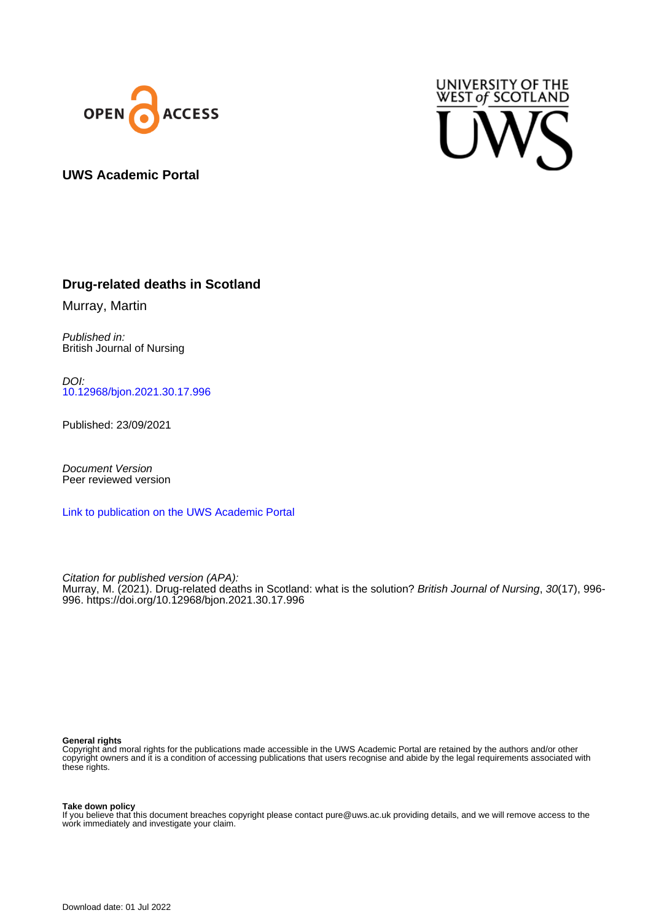



**UWS Academic Portal**

## **Drug-related deaths in Scotland**

Murray, Martin

Published in: British Journal of Nursing

DOI: [10.12968/bjon.2021.30.17.996](https://doi.org/10.12968/bjon.2021.30.17.996)

Published: 23/09/2021

Document Version Peer reviewed version

[Link to publication on the UWS Academic Portal](https://uws.pure.elsevier.com/en/publications/80484cc5-002a-4ce8-be5b-6f0e465dd8c4)

Citation for published version (APA): Murray, M. (2021). Drug-related deaths in Scotland: what is the solution? British Journal of Nursing, 30(17), 996-996.<https://doi.org/10.12968/bjon.2021.30.17.996>

## **General rights**

Copyright and moral rights for the publications made accessible in the UWS Academic Portal are retained by the authors and/or other copyright owners and it is a condition of accessing publications that users recognise and abide by the legal requirements associated with these rights.

## **Take down policy**

If you believe that this document breaches copyright please contact pure@uws.ac.uk providing details, and we will remove access to the work immediately and investigate your claim.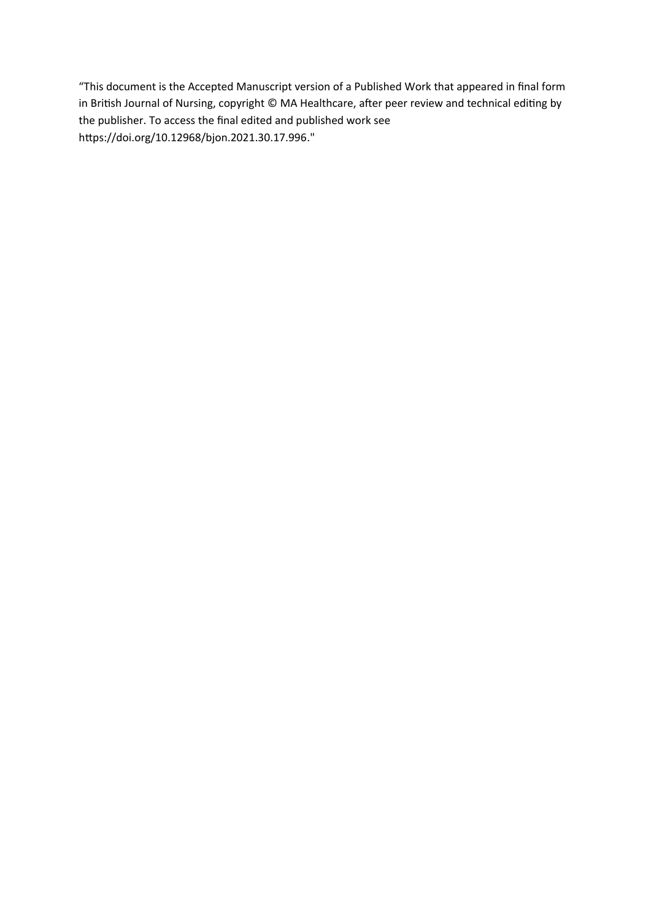"This document is the Accepted Manuscript version of a Published Work that appeared in final form in British Journal of Nursing, copyright © MA Healthcare, after peer review and technical editing by the publisher. To access the final edited and published work see https://doi.org/10.12968/bjon.2021.30.17.996."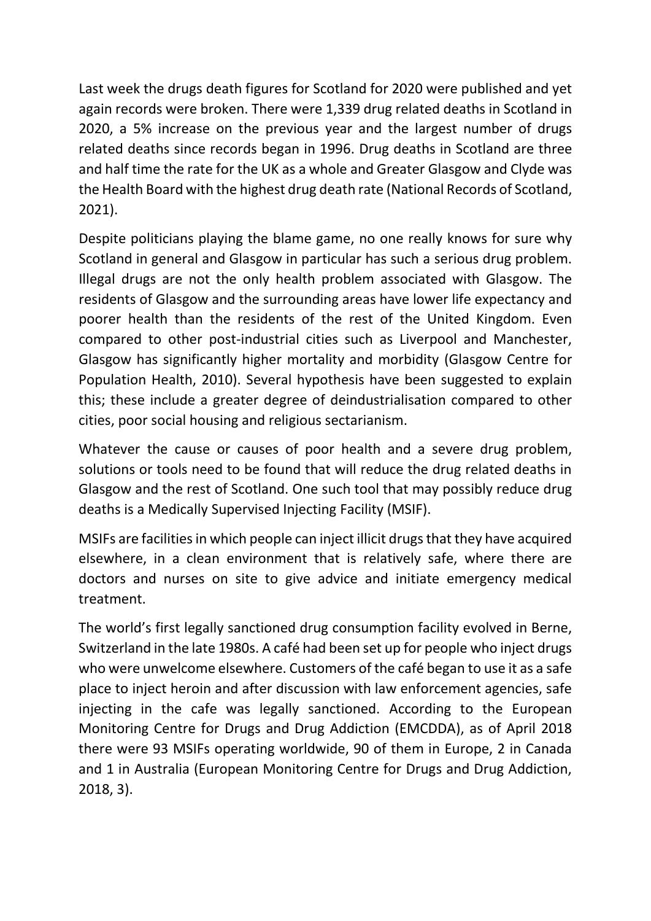Last week the drugs death figures for Scotland for 2020 were published and yet again records were broken. There were 1,339 drug related deaths in Scotland in 2020, a 5% increase on the previous year and the largest number of drugs related deaths since records began in 1996. Drug deaths in Scotland are three and half time the rate for the UK as a whole and Greater Glasgow and Clyde was the Health Board with the highest drug death rate (National Records of Scotland, 2021).

Despite politicians playing the blame game, no one really knows for sure why Scotland in general and Glasgow in particular has such a serious drug problem. Illegal drugs are not the only health problem associated with Glasgow. The residents of Glasgow and the surrounding areas have lower life expectancy and poorer health than the residents of the rest of the United Kingdom. Even compared to other post-industrial cities such as Liverpool and Manchester, Glasgow has significantly higher mortality and morbidity (Glasgow Centre for Population Health, 2010). Several hypothesis have been suggested to explain this; these include a greater degree of deindustrialisation compared to other cities, poor social housing and religious sectarianism.

Whatever the cause or causes of poor health and a severe drug problem, solutions or tools need to be found that will reduce the drug related deaths in Glasgow and the rest of Scotland. One such tool that may possibly reduce drug deaths is a Medically Supervised Injecting Facility (MSIF).

MSIFs are facilities in which people can inject illicit drugs that they have acquired elsewhere, in a clean environment that is relatively safe, where there are doctors and nurses on site to give advice and initiate emergency medical treatment.

The world's first legally sanctioned drug consumption facility evolved in Berne, Switzerland in the late 1980s. A café had been set up for people who inject drugs who were unwelcome elsewhere. Customers of the café began to use it as a safe place to inject heroin and after discussion with law enforcement agencies, safe injecting in the cafe was legally sanctioned. According to the European Monitoring Centre for Drugs and Drug Addiction (EMCDDA), as of April 2018 there were 93 MSIFs operating worldwide, 90 of them in Europe, 2 in Canada and 1 in Australia (European Monitoring Centre for Drugs and Drug Addiction, 2018, 3).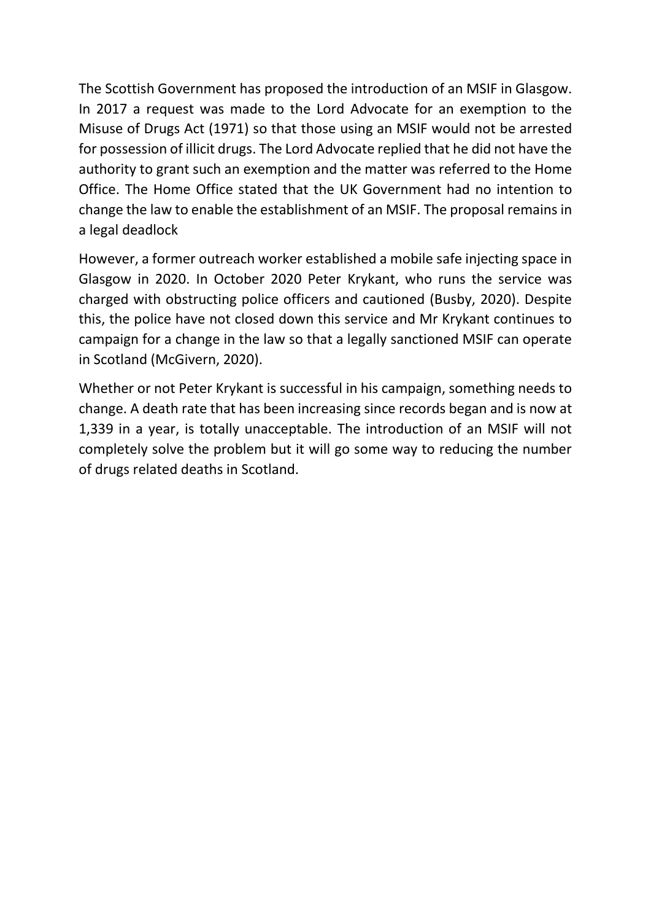The Scottish Government has proposed the introduction of an MSIF in Glasgow. In 2017 a request was made to the Lord Advocate for an exemption to the Misuse of Drugs Act (1971) so that those using an MSIF would not be arrested for possession of illicit drugs. The Lord Advocate replied that he did not have the authority to grant such an exemption and the matter was referred to the Home Office. The Home Office stated that the UK Government had no intention to change the law to enable the establishment of an MSIF. The proposal remains in a legal deadlock

However, a former outreach worker established a mobile safe injecting space in Glasgow in 2020. In October 2020 Peter Krykant, who runs the service was charged with obstructing police officers and cautioned (Busby, 2020). Despite this, the police have not closed down this service and Mr Krykant continues to campaign for a change in the law so that a legally sanctioned MSIF can operate in Scotland (McGivern, 2020).

Whether or not Peter Krykant is successful in his campaign, something needs to change. A death rate that has been increasing since records began and is now at 1,339 in a year, is totally unacceptable. The introduction of an MSIF will not completely solve the problem but it will go some way to reducing the number of drugs related deaths in Scotland.